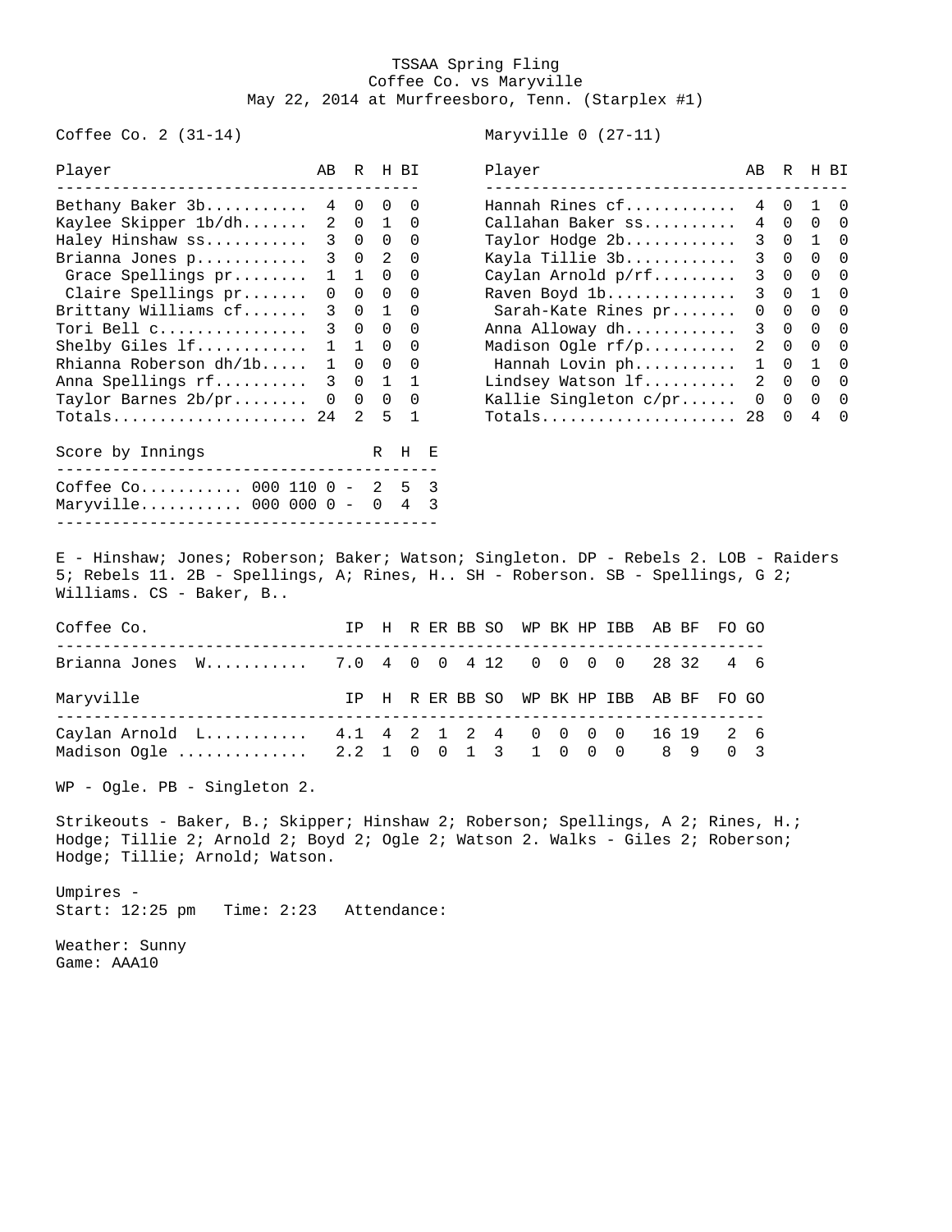## TSSAA Spring Fling Coffee Co. vs Maryville May 22, 2014 at Murfreesboro, Tenn. (Starplex #1)

Coffee Co. 2 (31-14) Maryville 0 (27-11)

| r raytr                                                    | <b>AD</b> |                   | ⊤ת זו יע | r iay ci<br>_____________________________________                                                                                                                                                                             | <b>AD</b> | ⊤ת זו יע                 |                |
|------------------------------------------------------------|-----------|-------------------|----------|-------------------------------------------------------------------------------------------------------------------------------------------------------------------------------------------------------------------------------|-----------|--------------------------|----------------|
| Bethany Baker $3b$ $4 \t 0 \t 0 \t 0$                      |           |                   |          | Hannah Rines cf 4 0 1 0                                                                                                                                                                                                       |           |                          |                |
| Kaylee Skipper 1b/dh 2 0 1 0                               |           |                   |          | Callahan Baker ss 4 0 0                                                                                                                                                                                                       |           |                          | $\Omega$       |
| Haley Hinshaw ss 3 0 0 0                                   |           |                   |          | Taylor Hodge 2b 3 0 1 0                                                                                                                                                                                                       |           |                          |                |
| Brianna Jones p 3 0 2 0                                    |           |                   |          | Kayla Tillie 3b                                                                                                                                                                                                               |           | 3 0 0 0                  |                |
| Grace Spellings pr                                         |           |                   | 1 1 0 0  | Caylan Arnold p/rf                                                                                                                                                                                                            |           | 3 0 0 0                  |                |
| Claire Spellings pr                                        |           | $0\quad 0\quad 0$ | - 0      | Raven Boyd 1b                                                                                                                                                                                                                 |           | 3 0 1                    | $\overline{0}$ |
| Brittany Williams cf                                       |           |                   | 3 0 1 0  | Sarah-Kate Rines pr                                                                                                                                                                                                           |           | $0\quad 0\quad 0\quad 0$ |                |
| Tori Bell c 3 0 0 0                                        |           |                   |          | Anna Alloway dh 3 0 0 0                                                                                                                                                                                                       |           |                          |                |
| Shelby Giles $1f$ $1\quad 1\quad 0$                        |           |                   | $\Omega$ | Madison Oqle $rf/p$                                                                                                                                                                                                           |           | 2 0 0                    | $\Omega$       |
| Rhianna Roberson $dh/lb$ $1 \t 0 \t 0 \t 0$                |           |                   |          | Hannah Lovin ph 1 0 1 0                                                                                                                                                                                                       |           |                          |                |
| Anna Spellings rf 3 0 1 1                                  |           |                   |          | Lindsey Watson lf                                                                                                                                                                                                             |           | 2 0 0 0                  |                |
| Taylor Barnes 2b/pr 0 0 0 0                                |           |                   |          | Kallie Singleton $c/pr$ $0 \t 0 \t 0 \t 0$                                                                                                                                                                                    |           |                          |                |
| Totals 24 2 5                                              |           |                   | 1        |                                                                                                                                                                                                                               |           | 4                        | $\Omega$       |
| Score by Innings<br>______________________________________ |           |                   | R H E    |                                                                                                                                                                                                                               |           |                          |                |
| Coffee Co 000 110 0 - 2 5 3                                |           |                   |          |                                                                                                                                                                                                                               |           |                          |                |
| Maryville 000 000 0 - 0 4 3                                |           |                   |          |                                                                                                                                                                                                                               |           |                          |                |
|                                                            |           |                   |          |                                                                                                                                                                                                                               |           |                          |                |
|                                                            |           |                   |          | and the second contract of the second contract of the second contract of the second contract of the second contract of the second contract of the second contract of the second contract of the second contract of the second |           |                          |                |

| Player                       | ABR HBI |                             |          |                                 | Player                | AB R H BI |             |                                     |  |
|------------------------------|---------|-----------------------------|----------|---------------------------------|-----------------------|-----------|-------------|-------------------------------------|--|
| Bethany Baker 3b             |         | 4 0 0 0                     |          |                                 | Hannah Rines cf       |           |             | 4 0 1 0                             |  |
| Kaylee Skipper 1b/dh         |         | 2 0 1 0                     |          |                                 | Callahan Baker ss     |           |             | 4 0 0 0                             |  |
| Haley Hinshaw ss             |         | $3 \quad 0$                 |          | $0\quad 0$                      | Taylor Hodge 2b       |           |             | 3 0 1 0                             |  |
| Brianna Jones p              |         | 3 0 2 0                     |          |                                 | Kayla Tillie 3b       |           |             | 3 0 0 0                             |  |
| Grace Spellings pr           |         | $1 \quad 1$                 |          | $0\quad 0$                      | Caylan Arnold p/rf    |           | $3 \quad 0$ | $\begin{matrix} 0 & 0 \end{matrix}$ |  |
| Claire Spellings pr          |         | $0\quad 0\quad 0\quad 0$    |          |                                 | Raven Boyd 1b         |           |             | 3 0 1 0                             |  |
| Brittany Williams cf         |         | 3 0 1 0                     |          |                                 | Sarah-Kate Rines pr   | $\Omega$  | $\Omega$    | $\cap$ $\cap$                       |  |
| Tori Bell c                  |         | $3 \quad 0$                 |          | $\begin{matrix}0&0\end{matrix}$ | Anna Alloway dh       |           |             | 3 0 0 0                             |  |
| Shelby Giles $\overline{1}f$ |         | $1 \quad 1$                 | $\Omega$ | $\overline{0}$                  | Madison Ogle rf/p     |           | $2 \quad 0$ | $\begin{matrix}0&0\end{matrix}$     |  |
| Rhianna Roberson dh/1b       |         | $\Omega$                    |          | $0\quad 0$                      | Hannah Lovin ph       |           |             | $1 \quad 0 \quad 1 \quad 0$         |  |
| Anna Spellings rf            |         | 3 0 1 1                     |          |                                 | Lindsey Watson lf     |           | $2 \quad 0$ | $\begin{matrix}0&0\end{matrix}$     |  |
| Taylor Barnes 2b/pr          |         | $0 \quad 0 \quad 0 \quad 0$ |          |                                 | Kallie Singleton c/pr |           |             | $0\quad 0\quad 0\quad 0$            |  |
| Totals 24   2   5   1        |         |                             |          |                                 | Totals 28 0           |           |             | 4 0                                 |  |

E - Hinshaw; Jones; Roberson; Baker; Watson; Singleton. DP - Rebels 2. LOB - Raiders 5; Rebels 11. 2B - Spellings, A; Rines, H.. SH - Roberson. SB - Spellings, G 2; Williams. CS - Baker, B..

| Coffee Co. |                                                                                                |  |  |  |  | IP H R ER BB SO WP BK HP IBB AB BF FO GO |  |  |
|------------|------------------------------------------------------------------------------------------------|--|--|--|--|------------------------------------------|--|--|
|            | Brianna Jones W 7.0 4 0 0 4 12 0 0 0 0 28 32 4 6                                               |  |  |  |  |                                          |  |  |
| Maryville  |                                                                                                |  |  |  |  | IP H R ER BB SO WP BK HP IBB AB BF FO GO |  |  |
|            | Caylan Arnold L 4.1 4 2 1 2 4 0 0 0 0 16 19 2 6<br>Madison Ogle  2.2 1 0 0 1 3 1 0 0 0 8 9 0 3 |  |  |  |  |                                          |  |  |

WP - Ogle. PB - Singleton 2.

Strikeouts - Baker, B.; Skipper; Hinshaw 2; Roberson; Spellings, A 2; Rines, H.; Hodge; Tillie 2; Arnold 2; Boyd 2; Ogle 2; Watson 2. Walks - Giles 2; Roberson; Hodge; Tillie; Arnold; Watson.

Umpires - Start: 12:25 pm Time: 2:23 Attendance:

Weather: Sunny Game: AAA10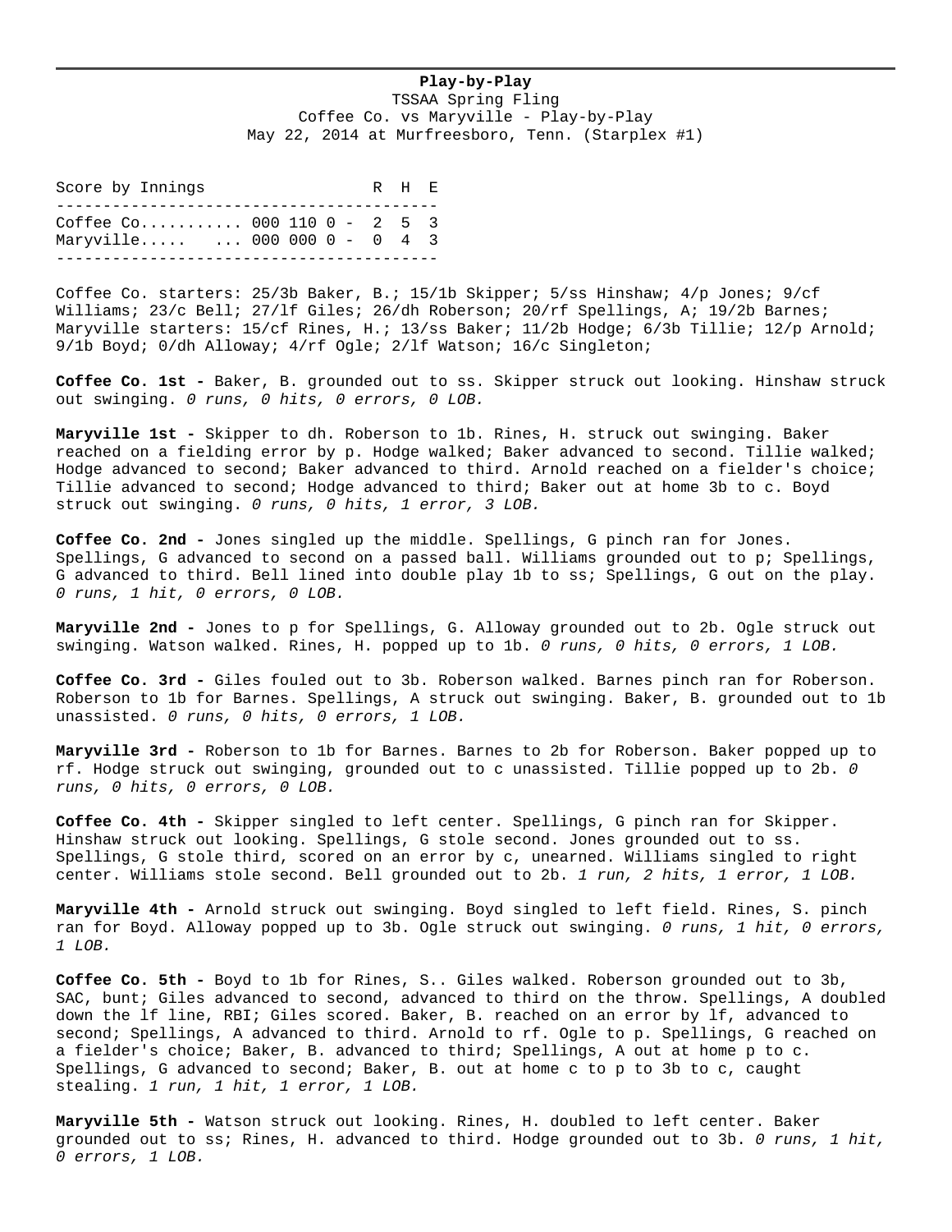## **Play-by-Play**

TSSAA Spring Fling Coffee Co. vs Maryville - Play-by-Play May 22, 2014 at Murfreesboro, Tenn. (Starplex #1)

Score by Innings R H E ----------------------------------------- Coffee Co........... 000 110 0 - 2 5 3 Maryville..... ... 000 000 0 - 0 4 3 -----------------------------------------

Coffee Co. starters: 25/3b Baker, B.; 15/1b Skipper; 5/ss Hinshaw; 4/p Jones; 9/cf Williams; 23/c Bell; 27/lf Giles; 26/dh Roberson; 20/rf Spellings, A; 19/2b Barnes; Maryville starters: 15/cf Rines, H.; 13/ss Baker; 11/2b Hodge; 6/3b Tillie; 12/p Arnold; 9/1b Boyd; 0/dh Alloway; 4/rf Ogle; 2/lf Watson; 16/c Singleton;

**Coffee Co. 1st -** Baker, B. grounded out to ss. Skipper struck out looking. Hinshaw struck out swinging. *0 runs, 0 hits, 0 errors, 0 LOB.*

**Maryville 1st -** Skipper to dh. Roberson to 1b. Rines, H. struck out swinging. Baker reached on a fielding error by p. Hodge walked; Baker advanced to second. Tillie walked; Hodge advanced to second; Baker advanced to third. Arnold reached on a fielder's choice; Tillie advanced to second; Hodge advanced to third; Baker out at home 3b to c. Boyd struck out swinging. *0 runs, 0 hits, 1 error, 3 LOB.*

**Coffee Co. 2nd -** Jones singled up the middle. Spellings, G pinch ran for Jones. Spellings, G advanced to second on a passed ball. Williams grounded out to p; Spellings, G advanced to third. Bell lined into double play 1b to ss; Spellings, G out on the play. *0 runs, 1 hit, 0 errors, 0 LOB.*

**Maryville 2nd -** Jones to p for Spellings, G. Alloway grounded out to 2b. Ogle struck out swinging. Watson walked. Rines, H. popped up to 1b. *0 runs, 0 hits, 0 errors, 1 LOB.*

**Coffee Co. 3rd -** Giles fouled out to 3b. Roberson walked. Barnes pinch ran for Roberson. Roberson to 1b for Barnes. Spellings, A struck out swinging. Baker, B. grounded out to 1b unassisted. *0 runs, 0 hits, 0 errors, 1 LOB.*

**Maryville 3rd -** Roberson to 1b for Barnes. Barnes to 2b for Roberson. Baker popped up to rf. Hodge struck out swinging, grounded out to c unassisted. Tillie popped up to 2b. *0 runs, 0 hits, 0 errors, 0 LOB.*

**Coffee Co. 4th -** Skipper singled to left center. Spellings, G pinch ran for Skipper. Hinshaw struck out looking. Spellings, G stole second. Jones grounded out to ss. Spellings, G stole third, scored on an error by c, unearned. Williams singled to right center. Williams stole second. Bell grounded out to 2b. *1 run, 2 hits, 1 error, 1 LOB.*

**Maryville 4th -** Arnold struck out swinging. Boyd singled to left field. Rines, S. pinch ran for Boyd. Alloway popped up to 3b. Ogle struck out swinging. *0 runs, 1 hit, 0 errors, 1 LOB.*

**Coffee Co. 5th -** Boyd to 1b for Rines, S.. Giles walked. Roberson grounded out to 3b, SAC, bunt; Giles advanced to second, advanced to third on the throw. Spellings, A doubled down the lf line, RBI; Giles scored. Baker, B. reached on an error by lf, advanced to second; Spellings, A advanced to third. Arnold to rf. Ogle to p. Spellings, G reached on a fielder's choice; Baker, B. advanced to third; Spellings, A out at home p to c. Spellings, G advanced to second; Baker, B. out at home c to p to 3b to c, caught stealing. *1 run, 1 hit, 1 error, 1 LOB.*

**Maryville 5th -** Watson struck out looking. Rines, H. doubled to left center. Baker grounded out to ss; Rines, H. advanced to third. Hodge grounded out to 3b. *0 runs, 1 hit, 0 errors, 1 LOB.*